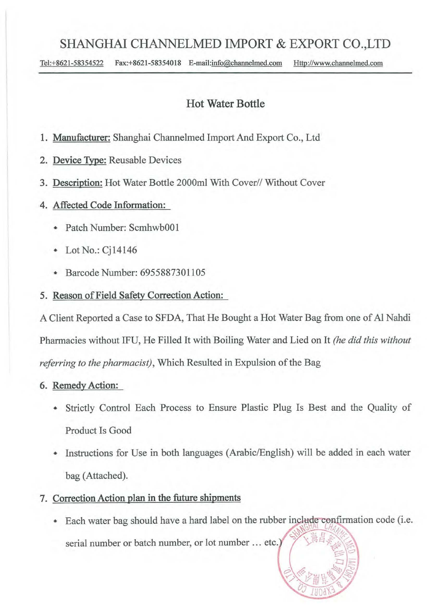## SHANGHAI CHANNELMED IMPORT & EXPORT CO.,LTD

Tel:+8621-58354522 Fax:+8621-58354018 E-mail:info@channelmed.com Http://www.channelmed.com

## Hot Water Bottle

- 1. Manufacturer: Shanghai Channelmed Import And Export Co., Ltd.
- 2. Device Type: Reusable Devices
- 3. Description: Hot Water Bottle 2000ml With Cover// Without Cover
- 4. Affected Code Information:
	- Patch Number: ScmhwbOO1
	- Lot No.: Cj14146
	- Barcode Number: 6955887301105
- 5. Reason of Field Safety Correction Action:

A Client Reported a Case to SFDA, That He Bought a Hot Water Bag from one of Al Nahdi Pharmacies without IFU, He Filled It with Boiling Water and Lied on It *(he did this without referring to the pharmacist*), Which Resulted in Expulsion of the Bag

#### 6. Remedy Action:

- Strictly Control Each Process to Ensure Plastic Plug Is Best and the Quality of Product Is Good
- Instructions for Use in both languages (Arabic/English) will be added in each water bag (Attached).
- 7. Correction Action plan in the future shipments
	- Each water bag should have a hard label on the rubber include confirmation code (i.e. serial number or batch number, or lot number ... etc.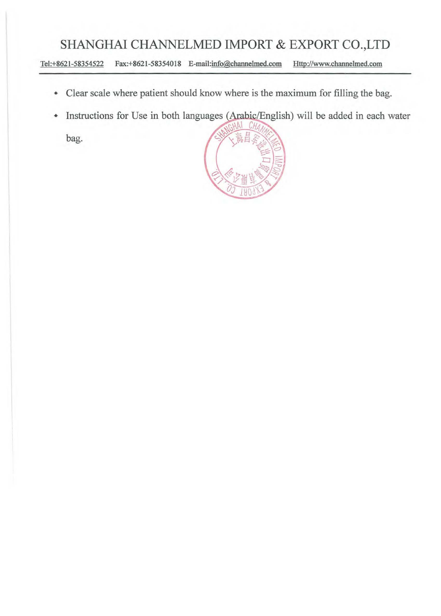# **SHANGHAI CHANNELMED IMPORT & EXPORT CO.,LTD**

Tel:+8621-58354522 Fax:+8621-58354018 E-mail:info@channelmed.com Http://www.channelmed.com

- Clear scale where patient should know where is the maximum for filling the bag.
- Instructions for Use in both languages (Arabic/English) will be added in each water  $\spadesuit$

bag.

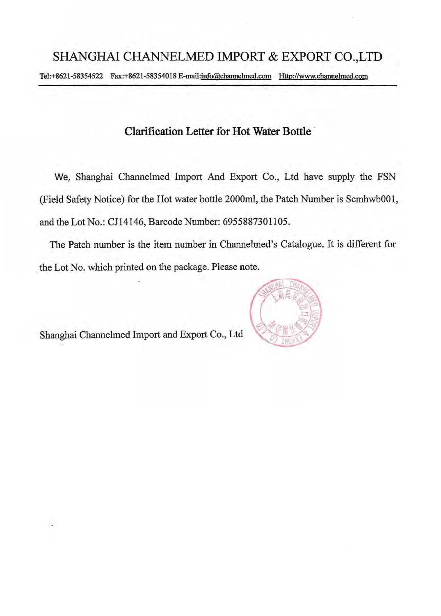Tel:+8621-58354522 Fax:+8621-58354018 E-mail:info@channehned.com Http://www.channehned.com

### **Clarification Letter for Hot Water Bottle·**

We, Shanghai Channelmed Import And Export Co., Ltd have supply the FSN (Field Safety Notice) for the Hot water bottle 2000ml, the Patch Number is ScmhwbOOl, and the Lot No.: CJl4146, Barcode Number: 6955887301105.

The Patch number is the item number in Channelmed's Catalogue. It is different for the Lot No. which printed on the package. Please note.

Shanghai Channelmed Import and Export Co., Ltd